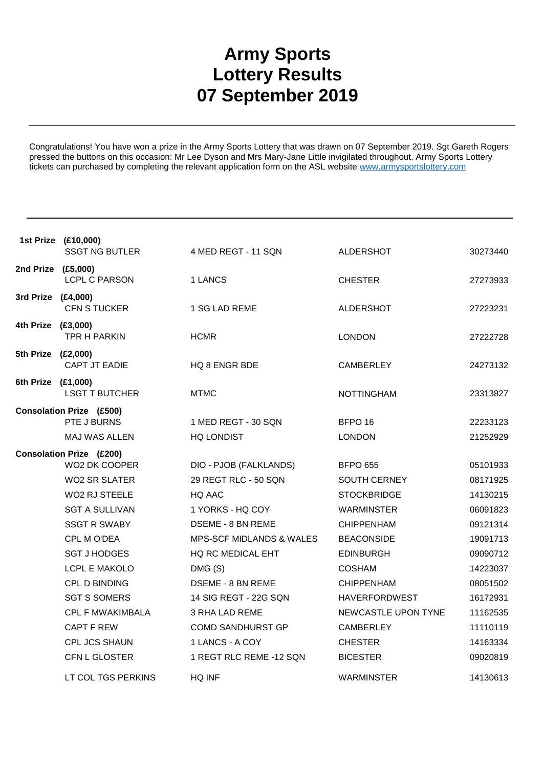## **Army Sports Lottery Results 07 September 2019**

Congratulations! You have won a prize in the Army Sports Lottery that was drawn on 07 September 2019. Sgt Gareth Rogers pressed the buttons on this occasion: Mr Lee Dyson and Mrs Mary-Jane Little invigilated throughout. Army Sports Lottery tickets can purchased by completing the relevant application form on the ASL website www.armysportslottery.com

|                    | 1st Prize (£10,000)                            |                                     |                      |          |
|--------------------|------------------------------------------------|-------------------------------------|----------------------|----------|
|                    | <b>SSGT NG BUTLER</b>                          | 4 MED REGT - 11 SQN                 | <b>ALDERSHOT</b>     | 30273440 |
| 2nd Prize (£5,000) | <b>LCPL C PARSON</b>                           | 1 LANCS                             | <b>CHESTER</b>       | 27273933 |
| 3rd Prize (£4,000) | <b>CFN S TUCKER</b>                            | 1 SG LAD REME                       | <b>ALDERSHOT</b>     | 27223231 |
| 4th Prize (£3,000) | TPR H PARKIN                                   | <b>HCMR</b>                         | <b>LONDON</b>        | 27222728 |
| 5th Prize (£2,000) | CAPT JT EADIE                                  | HQ 8 ENGR BDE                       | <b>CAMBERLEY</b>     | 24273132 |
| 6th Prize (£1,000) | <b>LSGT T BUTCHER</b>                          | <b>MTMC</b>                         | <b>NOTTINGHAM</b>    | 23313827 |
|                    | <b>Consolation Prize (£500)</b><br>PTE J BURNS | 1 MED REGT - 30 SQN                 | BFPO <sub>16</sub>   | 22233123 |
|                    | <b>MAJ WAS ALLEN</b>                           | HQ LONDIST                          | <b>LONDON</b>        | 21252929 |
|                    | <b>Consolation Prize (£200)</b>                |                                     |                      |          |
|                    | WO2 DK COOPER                                  | DIO - PJOB (FALKLANDS)              | <b>BFPO 655</b>      | 05101933 |
|                    | WO2 SR SLATER                                  | 29 REGT RLC - 50 SQN                | SOUTH CERNEY         | 08171925 |
|                    | <b>WO2 RJ STEELE</b>                           | HQ AAC                              | <b>STOCKBRIDGE</b>   | 14130215 |
|                    | <b>SGT A SULLIVAN</b>                          | 1 YORKS - HQ COY                    | <b>WARMINSTER</b>    | 06091823 |
|                    | <b>SSGT R SWABY</b>                            | DSEME - 8 BN REME                   | <b>CHIPPENHAM</b>    | 09121314 |
|                    | CPL M O'DEA                                    | <b>MPS-SCF MIDLANDS &amp; WALES</b> | <b>BEACONSIDE</b>    | 19091713 |
|                    | <b>SGT J HODGES</b>                            | <b>HQ RC MEDICAL EHT</b>            | <b>EDINBURGH</b>     | 09090712 |
|                    | LCPL E MAKOLO                                  | DMG(S)                              | <b>COSHAM</b>        | 14223037 |
|                    | CPL D BINDING                                  | <b>DSEME - 8 BN REME</b>            | <b>CHIPPENHAM</b>    | 08051502 |
|                    | <b>SGT S SOMERS</b>                            | 14 SIG REGT - 22G SQN               | <b>HAVERFORDWEST</b> | 16172931 |
|                    | <b>CPL F MWAKIMBALA</b>                        | <b>3 RHA LAD REME</b>               | NEWCASTLE UPON TYNE  | 11162535 |
|                    | <b>CAPT F REW</b>                              | <b>COMD SANDHURST GP</b>            | <b>CAMBERLEY</b>     | 11110119 |
|                    | CPL JCS SHAUN                                  | 1 LANCS - A COY                     | <b>CHESTER</b>       | 14163334 |
|                    | CFN L GLOSTER                                  | 1 REGT RLC REME -12 SQN             | <b>BICESTER</b>      | 09020819 |
|                    | LT COL TGS PERKINS                             | HQ INF                              | <b>WARMINSTER</b>    | 14130613 |